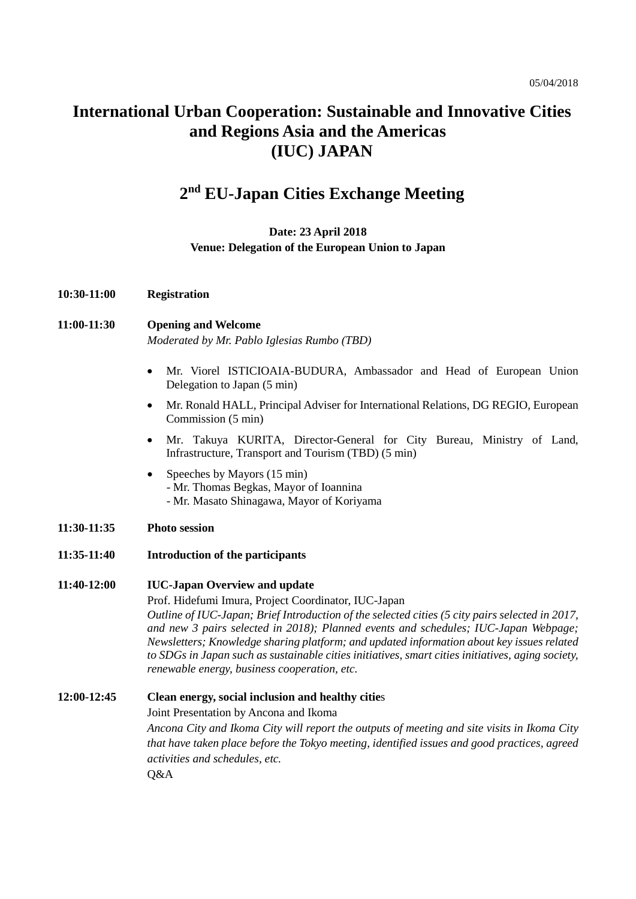# **International Urban Cooperation: Sustainable and Innovative Cities and Regions Asia and the Americas (IUC) JAPAN**

## **2nd EU-Japan Cities Exchange Meeting**

#### **Date: 23 April 2018 Venue: Delegation of the European Union to Japan**

**10:30-11:00 Registration**

#### **11:00-11:30 Opening and Welcome** *Moderated by Mr. Pablo Iglesias Rumbo (TBD)*

- Mr. [Viorel ISTICIOAIA-BUDURA,](http://eeas.europa.eu/sites/eeas/files/cv_-_mr_viorel_isticioaia-budura_.pdf) Ambassador and Head of European Union Delegation to Japan (5 min)
- Mr. Ronald HALL, Principal Adviser for International Relations, DG REGIO, European Commission (5 min)
- Mr. Takuya KURITA, Director-General for City Bureau, Ministry of Land, Infrastructure, Transport and Tourism (TBD) (5 min)
- Speeches by Mayors (15 min) - Mr. Thomas Begkas, Mayor of Ioannina - Mr. Masato Shinagawa, Mayor of Koriyama
- **11:30-11:35 Photo session**
- **11:35-11:40 Introduction of the participants**

#### **11:40-12:00 IUC-Japan Overview and update**

Prof. Hidefumi Imura, Project Coordinator, IUC-Japan *Outline of IUC-Japan; Brief Introduction of the selected cities (5 city pairs selected in 2017, and new 3 pairs selected in 2018); Planned events and schedules; IUC-Japan Webpage; Newsletters; Knowledge sharing platform; and updated information about key issues related to SDGs in Japan such as sustainable cities initiatives, smart cities initiatives, aging society, renewable energy, business cooperation, etc.*

#### **12:00-12:45 Clean energy, social inclusion and healthy citie**s Joint Presentation by Ancona and Ikoma

*Ancona City and Ikoma City will report the outputs of meeting and site visits in Ikoma City that have taken place before the Tokyo meeting, identified issues and good practices, agreed activities and schedules, etc.*

Q&A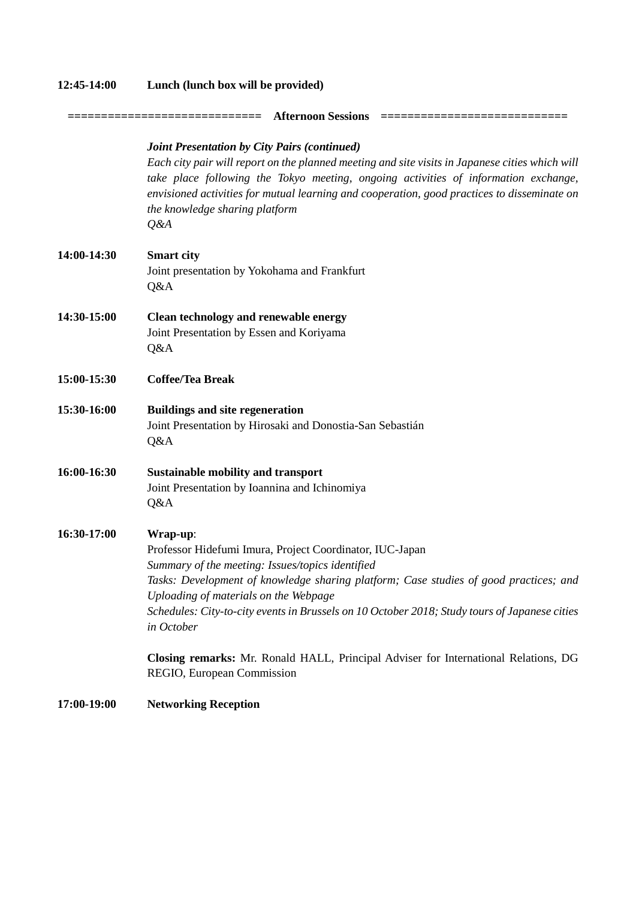| 12:45-14:00 | Lunch (lunch box will be provided)                                                                                                                                                                                                                                                                                                                                                       |
|-------------|------------------------------------------------------------------------------------------------------------------------------------------------------------------------------------------------------------------------------------------------------------------------------------------------------------------------------------------------------------------------------------------|
|             | <b>Afternoon Sessions</b><br>================                                                                                                                                                                                                                                                                                                                                            |
|             | <b>Joint Presentation by City Pairs (continued)</b><br>Each city pair will report on the planned meeting and site visits in Japanese cities which will<br>take place following the Tokyo meeting, ongoing activities of information exchange,<br>envisioned activities for mutual learning and cooperation, good practices to disseminate on<br>the knowledge sharing platform<br>$Q\&A$ |
| 14:00-14:30 | <b>Smart</b> city<br>Joint presentation by Yokohama and Frankfurt<br>Q&A                                                                                                                                                                                                                                                                                                                 |
| 14:30-15:00 | Clean technology and renewable energy<br>Joint Presentation by Essen and Koriyama<br>Q&A                                                                                                                                                                                                                                                                                                 |
| 15:00-15:30 | <b>Coffee/Tea Break</b>                                                                                                                                                                                                                                                                                                                                                                  |
| 15:30-16:00 | <b>Buildings and site regeneration</b><br>Joint Presentation by Hirosaki and Donostia-San Sebastián<br>Q&A                                                                                                                                                                                                                                                                               |
| 16:00-16:30 | <b>Sustainable mobility and transport</b><br>Joint Presentation by Ioannina and Ichinomiya<br>Q&A                                                                                                                                                                                                                                                                                        |
| 16:30-17:00 | Wrap-up:<br>Professor Hidefumi Imura, Project Coordinator, IUC-Japan<br>Summary of the meeting: Issues/topics identified<br>Tasks: Development of knowledge sharing platform; Case studies of good practices; and<br>Uploading of materials on the Webpage<br>Schedules: City-to-city events in Brussels on 10 October 2018; Study tours of Japanese cities<br>in October                |
|             | Closing remarks: Mr. Ronald HALL, Principal Adviser for International Relations, DG<br>REGIO, European Commission                                                                                                                                                                                                                                                                        |
| 17:00-19:00 | <b>Networking Reception</b>                                                                                                                                                                                                                                                                                                                                                              |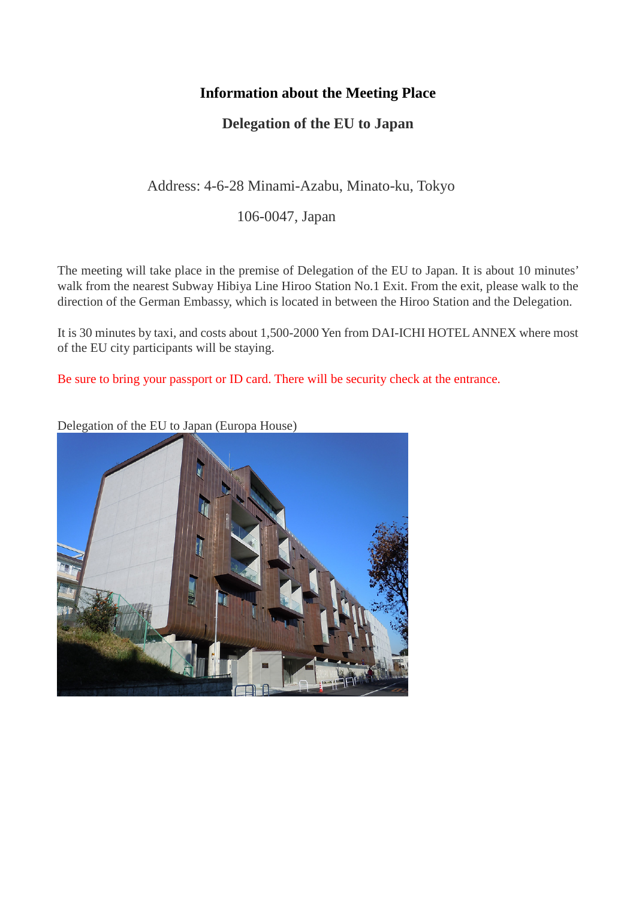## **Information about the Meeting Place**

## **Delegation of the EU to Japan**

## Address: 4-6-28 Minami-Azabu, Minato-ku, Tokyo

106-0047, Japan

The meeting will take place in the premise of Delegation of the EU to Japan. It is about 10 minutes' walk from the nearest Subway Hibiya Line Hiroo Station No.1 Exit. From the exit, please walk to the direction of the German Embassy, which is located in between the Hiroo Station and the Delegation.

It is 30 minutes by taxi, and costs about 1,500-2000 Yen from DAI-ICHI HOTEL ANNEX where most of the EU city participants will be staying.

Be sure to bring your passport or ID card. There will be security check at the entrance.

Delegation of the EU to Japan (Europa House)

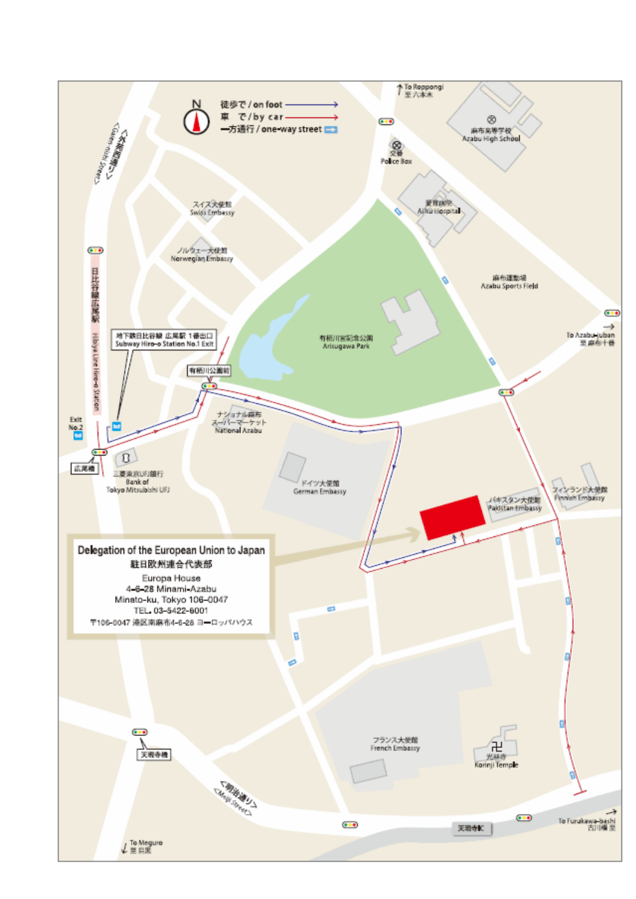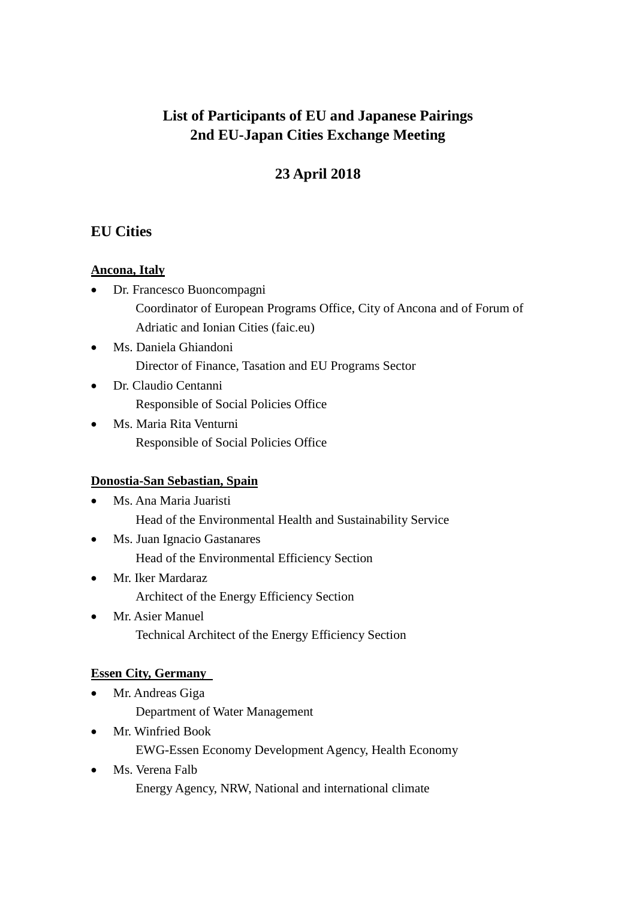# **List of Participants of EU and Japanese Pairings 2nd EU-Japan Cities Exchange Meeting**

# **23 April 2018**

## **EU Cities**

### **Ancona, Italy**

- Dr. Francesco Buoncompagni Coordinator of European Programs Office, City of Ancona and of Forum of Adriatic and Ionian Cities (faic.eu)
- Ms. Daniela Ghiandoni Director of Finance, Tasation and EU Programs Sector
- Dr. Claudio Centanni Responsible of Social Policies Office
- Ms. Maria Rita Venturni Responsible of Social Policies Office

### **Donostia-San Sebastian, Spain**

- Ms. Ana Maria Juaristi Head of the Environmental Health and Sustainability Service
- Ms. Juan Ignacio Gastanares Head of the Environmental Efficiency Section
- Mr. Iker Mardaraz Architect of the Energy Efficiency Section
- Mr. Asier Manuel Technical Architect of the Energy Efficiency Section

## **Essen City, Germany**

- Mr. Andreas Giga Department of Water Management
- Mr. Winfried Book EWG-Essen Economy Development Agency, Health Economy
- Ms. Verena Falb Energy Agency, NRW, National and international climate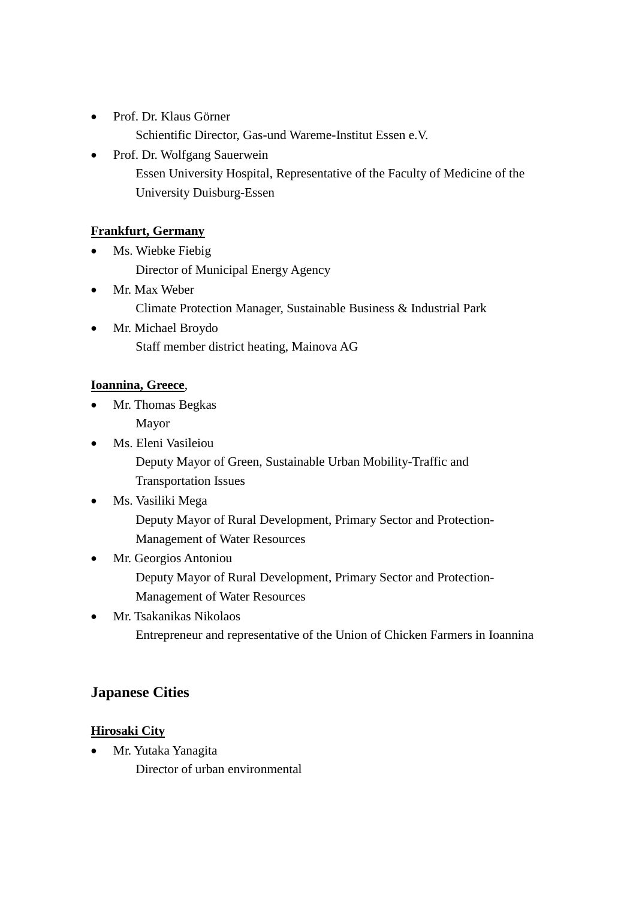- Prof. Dr. Klaus Görner Schientific Director, Gas-und Wareme-Institut Essen e.V.
- Prof. Dr. Wolfgang Sauerwein Essen University Hospital, Representative of the Faculty of Medicine of the University Duisburg-Essen

### **Frankfurt, Germany**

- Ms. Wiebke Fiebig Director of Municipal Energy Agency
- Mr. Max Weber Climate Protection Manager, Sustainable Business & Industrial Park
- Mr. Michael Broydo Staff member district heating, Mainova AG

#### **Ioannina, Greece**,

- Mr. Thomas Begkas Mayor
- Ms. Eleni Vasileiou Deputy Mayor of Green, Sustainable Urban Mobility-Traffic and Transportation Issues
- Ms. Vasiliki Mega Deputy Mayor of Rural Development, Primary Sector and Protection-Management of Water Resources
- Mr. Georgios Antoniou Deputy Mayor of Rural Development, Primary Sector and Protection-Management of Water Resources
- Mr. Tsakanikas Nikolaos Entrepreneur and representative of the Union of Chicken Farmers in Ioannina

## **Japanese Cities**

#### **Hirosaki City**

• Mr. Yutaka Yanagita Director of urban environmental